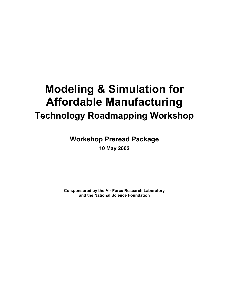# **Modeling & Simulation for Affordable Manufacturing Technology Roadmapping Workshop**

**Workshop Preread Package**

**10 May 2002**

**Co-sponsored by the Air Force Research Laboratory and the National Science Foundation**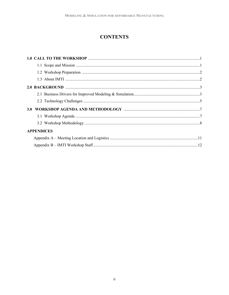## **CONTENTS**

| <b>APPENDICES</b> |  |
|-------------------|--|
|                   |  |
|                   |  |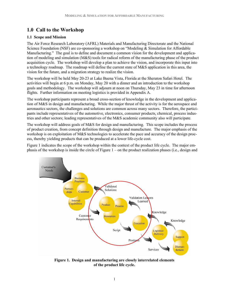### **1.0 Call to the Workshop**

#### **1.1 Scope and Mission**

The Air Force Research Laboratory (AFRL) Materials and Manufacturing Directorate and the National Science Foundation (NSF) are co-sponsoring a workshop on "Modeling & Simulation for Affordable Manufacturing." The goal is to define and document a common vision for the development and application of modeling and simulation (M&S) tools for radical reform of the manufacturing phase of the product acquisition cycle. The workshop will develop a plan to achieve the vision, and incorporate this input into a technology roadmap. The roadmap will define the current state of M&S application in this area, the vision for the future, and a migration strategy to realize the vision.

The workshop will be held May 20-23 at Lake Buena Vista, Florida at the Sheraton Safari Hotel. The activities will begin at 6 p.m. on Monday, May 20 with a dinner and an introduction to the workshop goals and methodology. The workshop will adjourn at noon on Thursday, May 23 in time for afternoon flights. Further information on meeting logistics is provided in Appendix A.

The workshop participants represent a broad cross-section of knowledge in the development and application of M&S in design and manufacturing. While the major thrust of the activity is for the aerospace and aeronautics sectors, the challenges and solutions are common across many sectors. Therefore, the participants include representatives of the automotive, electronics, consumer products, chemical, process industries and other sectors; leading representatives of the M&S academic community also will participate.

The workshop will address goals of M&S for design and manufacturing. This scope includes the process of product creation, from concept definition through design and manufacture. The major emphasis of the workshop is on exploitation of M&S technologies to accelerate the pace and accuracy of the design process, thereby yielding products that can be produced at a lower life-cycle cost.

Figure 1 indicates the scope of the workshop within the context of the product life cycle. The major emphasis of the workshop is inside the circle of Figure 1 – on the product realization phases (i.e., design and



**Figure 1. Design and manufacturing are closely interrelated elements of the product life cycle.**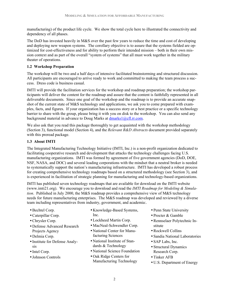manufacturing) of the product life cycle. We show the total cycle here to illustrated the connectivity and dependency of all phases.

The DoD has invested heavily in M&S over the past few years to reduce the time and cost of developing and deploying new weapon systems. The corollary objective is to assure that the systems fielded are optimized for cost-effectiveness and for ability to perform their intended mission – both in their own mission context and as part of the overall "system of systems" that all must work together in the military theater of operations.

#### **1.2 Workshop Preparation**

The workshop will be two and a half days of intensive facilitated brainstorming and structured discussion. All participants are encouraged to arrive ready to work and committed to making the team process a success. Dress code is business casual.

IMTI will provide the facilitation services for the workshop and roadmap preparation; the workshop participants will deliver the content for the roadmap and assure that the content is faithfully represented in all deliverable documents. Since one goal of the workshop and the roadmap is to provide an accurate snapshot of the current state of M&S technology and applications, we ask you to come prepared with examples, facts, and figures. If your organization has a success story or a best practice or a specific technology barrier to share with the group, please bring it with you on disk to the workshop. You can also send any background material in advance to Doug Marks at  $dmarks1$  ( $Q$ ) $cf.$  rr.com.

We also ask that you read this package thoroughly to get acquainted with the workshop methodology (Section 3), functional model (Section 4), and the *Relevant R&D Abstracts* document provided separately with this preread package.

#### **1.3 About IMTI**

The Integrated Manufacturing Technology Initiative (IMTI, Inc.) is a non-profit organization dedicated to facilitating cooperative research and development that attacks the technology challenges facing U.S. manufacturing organizations. IMTI was formed by agreement of five government agencies (DoD, DOE, NSF, NASA, and DOC) and several leading corporations with the mindset that a neutral broker is needed to systematically support the nation's manufacturing infrastructure. IMTI has developed a robust process for creating comprehensive technology roadmaps based on a structured methodology (see Section 3), and is experienced in facilitation of strategic planning for manufacturing and technology-based organizations.

IMTI has published seven technology roadmaps that are available for download on the IMTI website (www.imti21.org). We encourage you to download and read the *IMTI Roadmap for Modeling & Simulation*. Published in July 2000, the M&S roadmap provides a comprehensive view of M&S technology needs for future manufacturing enterprises. The M&S roadmap was developed and reviewed by a diverse team including representatives from industry, government, and academia:.

- Bechtel Corp.
- Caterpillar Corp.
- Chrysler Corp.
- Defense Advanced Research Projects Agency
- Delmia Corp.
- Institute for Defense Analysis
- Intel Corp.
- Johnson Controls
- Knowledge-Based Systems, Inc.
- Lockheed Martin Corp.
- MacNeal-Schwendler Corp.
- National Center for Manufacturing Sciences
- National Institute of Standards & Technology
- National Science Foundation
- Oak Ridge Centers for Manufacturing Technology
- Penn State University
- Procter & Gamble
- Rennselaer Polytechnic Institute
- Rockwell Collins
- Sandia National Laboratories
- SAP Labs, Inc.
- Structural Dynamics Research Corp.
- Tinker AFB
- U.S. Department of Energy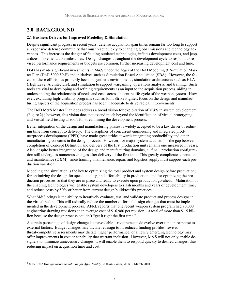## **2.0 BACKGROUND**

#### **2.1 Business Drivers for Improved Modeling & Simulation**

Despite significant progress in recent years, defense acquisition span times remain far too long to support a responsive defense community that must react quickly to changing global missions and technology advances. This increases the danger of fielding outdated technologies, inflates development costs, and jeopardizes implementation milestones. Design changes throughout the development cycle to respond to revised performance requirements or budgets are common, further increasing development cost and time.

DoD has made significant investments in M&S under the aegis of the DoD Modeling  $&$  Simulation Master Plan (DoD 5000.59-P) and initiatives such as Simulation Based Acquisition (SBA). However, the focus of these efforts has primarily been on synthetic environments, simulation architectures such as HLA (High Level Architecture), and simulation to support wargaming, operations analysis, and training. Such tools are vital to developing and refining requirements as an input to the acquisition process, aiding in understanding the relationship of needs and costs across the entire life-cycle of the weapon system. However, excluding high-visibility programs such as Joint Strike Fighter, focus on the design and manufacturing aspects of the acquisition process has been inadequate to drive radical improvements.

The DoD M&S Master Plan does address a broad vision for exploitation of M&S in system development (Figure 2) ; however, this vision does not extend much beyond the identification of virtual prototyping and virtual field-testing as tools for streamlining the development process.

Better integration of the design and manufacturing phases is widely accepted to be a key driver of reducing time from concept to delivery. The disciplines of concurrent engineering and integrated product/process development (IPPD) have made great strides towards integrating producibility and other manufacturing concerns in the design process. However, for major system acquisitions the gap between completion of Concept Definition and delivery of the first production unit remains one measured in years. Also, despite better integration of the design and manufacturing domains, a "final" production configuration still undergoes numerous changes after delivery of the first unit. This greatly complicates operation and maintenance (O&M), since training, maintenance, repair, and logistics supply must support each production variation.

Modeling and simulation is the key to optimizing the total product and system design before production; for optimizing the design for speed, quality, and affordability in production; and for optimizing the production processes so that they are in place and ready to execute upon production go-ahead. Maturation of the enabling technologies will enable system developers to slash months and years of development time, and reduce costs by 50% or better from current design/build/test/fix practices.

What M&S brings is the ability to iteratively evaluate, test, and validate product and process designs in the virtual realm. This will radically reduce the number of formal design changes that must be implemented in the development process. AFRL reports that one recent weapon system program had 90,000 engineering drawing revisions at an average cost of \$16,980 per revision – a total of more than \$1.5 billion because the design process couldn't "get it right the first time." <sup>1</sup>

A certain percentage of design change is unavoidable – requirements do evolve over time in response to external factors. Budget changes may dictate redesign to fit reduced funding profiles; revised threat/competitive assessments may dictate higher performance; or a newly emerging technology may offer improvements in cost or capability that warrant inclusion. However, M&S will not only enable designers to minimize unnecessary changes, it will enable them to respond quickly to desired changes, thus reducing impact on acquisition time and cost.

 $\overline{a}$ <sup>1</sup> *Integrated Manufacturing Simulation for Affordability, A White Paper*, AFRL, March 2001.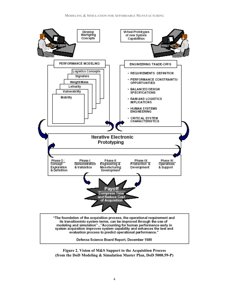

**Figure 2. Vision of M&S Support to the Acquisition Process (from the DoD Modeling & Simulation Master Plan, DoD 5000.59-P)**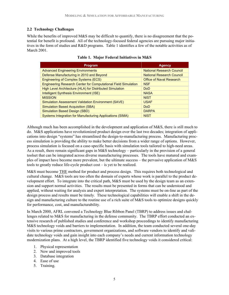#### **2.2 Technology Challenges**

While the benefits of improved M&S may be difficult to quantify, there is no disagreement that the potential for benefit is profound. All of the technology-focused federal agencies are pursuing major initiatives in the form of studies and R&D programs. Table 1 identifies a few of the notable activities as of March 2001.

| <b>Program</b>                                                        | <b>Agency</b>                    |
|-----------------------------------------------------------------------|----------------------------------|
| <b>Advanced Engineering Environments</b>                              | <b>National Research Council</b> |
| Defense Manufacturing in 2010 and Beyond                              | <b>National Research Council</b> |
| <b>Engineering of Complex Systems (ECS)</b>                           | <b>Office of Naval Research</b>  |
| <b>Engineering Research Center for Computational Field Simulation</b> | <b>NSF</b>                       |
| High Level Architecture (HLA) for Distributed Simulation              | Do <sub>D</sub>                  |
| Intelligent Synthesis Environment (ISE)                               | <b>NASA</b>                      |
| <b>MISSION</b>                                                        | <b>NIST</b>                      |
| <b>Simulation Assessment Validation Environment (SAVE)</b>            | <b>USAF</b>                      |
| <b>Simulation Based Acquisition (SBA)</b>                             | <b>DoD</b>                       |
| <b>Simulation Based Design (SBD)</b>                                  | <b>DARPA</b>                     |
| <b>Systems Integration for Manufacturing Applications (SIMA)</b>      | <b>NIST</b>                      |

#### **Table 1. Major Federal Initiatives in M&S**

Although much has been accomplished in the development and application of M&S, there is still much to do. M&S applications have revolutionized product design over the last two decades; integration of applications into design "systems" has streamlined the design-to-manufacturing process. Manufacturing process simulation is providing the ability to make better decisions from a wider range of options. However, process simulation is focused on a case-specific basis with simulation tools tailored to high-need areas. As a result, there remain significant gaps in M&S technology – particularly in the provision of a general toolset that can be integrated across diverse manufacturing processes. The tools have matured and examples of impact have become more prevalent, but the ultimate success – the pervasive application of M&S tools to greatly reduce life-cycle product cost – is yet to be realized.

M&S must become THE method for product and process design. This requires both technological and cultural change. M&S tools are too often the domain of experts whose work is parallel to the product development effort. To integrate into the critical path, M&S must be used by the design team as an extension and support normal activities. The results must be presented in forms that can be understood and applied, without waiting for analysis and expert interpretation. The systems must be on-line as part of the design process and results must be timely. These technological capabilities will enable a shift in the design and manufacturing culture to the routine use of a rich suite of M&S tools to optimize designs quickly for performance, cost, and manufacturability.

In March 2000, AFRL convened a Technology Blue Ribbon Panel (TBRP) to address issues and challenges related to M&S for manufacturing in the defense community. The TBRP effort conducted an extensive research of published studies and conference and workshop proceedings to identify manufacturing M&S technology voids and barriers to implementation. In addition, the team conducted several one-day visits to various prime contractors, government organizations, and software vendors to identify and validate technology voids and gain insight into each company's needs and current information technology modernization plans. At a high level, the TBRP identified five technology voids it considered critical:

- 1. Physical representation
- 2. New and improved tools
- 3. Database integration
- 4. Ease of use
- 5. Training.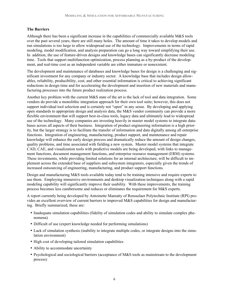#### **The Barriers**

Although there has been a significant increase in the capabilities of commercially available M&S tools over the past several years, there are still many holes. The amount of time it takes to develop models and run simulations is too large to allow widespread use of the technology. Improvements in terms of rapid modeling, model modification, and analysis preparation can go a long way toward simplifying their use. In addition, the use of feature-driven designs and knowledge bases can significantly decrease modeling time. Tools that support multifunction optimization, process planning as a by-product of the development, and real-time cost as an independent variable are either immature or nonexistent.

The development and maintenance of databases and knowledge bases for design is a challenging and significant investment for any company or industry sector. A knowledge base that includes design allowables, reliability, producibility, cost, and other essential information is critical to achieving significant reductions in design time and for accelerating the development and insertion of new materials and manufacturing processes into the future product realization process.

Another key problem with the current M&S state of the art is the lack of tool and data integration. Some vendors do provide a monolithic integration approach for their own tool suite; however, this does not support individual tool selection and is certainly not "open" in any sense. By developing and applying open standards to appropriate design and analysis data, the M&S vendor community can provide a more flexible environment that will support best-in-class tools, legacy data and ultimately lead to widespread use of the technology. Many companies are investing heavily in master model systems to integrate databases across all aspects of their business. Integration of product engineering information is a high priority, but the larger strategy is to facilitate the transfer of information and data digitally among all enterprise functions. Integration of engineering, manufacturing, product support, and maintenance and repair knowledge will enhance the early design process and dramatically reduce the amount of design changes, quality problems, and time associated with fielding a new system. Master model systems that integrate CAD, CAE, and visualization tools with predictive models are being developed, with links to management functions, document management functions, and enterprise resource management (ERM) systems. These investments, while providing limited solutions for an internal architecture, will be difficult to implement across the extended base of suppliers and subsystem integrators, especially given the trends of increased outsourcing of engineering, manufacturing, and product support functions.

Design and manufacturing M&S tools available today tend to be training intensive and require experts to use them. Employing immersive environments and desktop visualization techniques along with a rapid modeling capability will significantly improve their usability. With these improvements, the training process becomes less cumbersome and reduces or eliminates the requirement for M&S experts.

A report currently being developed by Antoinette Maniatty of Rensselaer Polytechnic Institute (RPI) provides an excellent overview of current barriers to improved M&S capabilities for design and manufacturing. Briefly summarized, these are:

- Inadequate simulation capabilities (fidelity of simulation codes and ability to simulate complex phenomena)
- Difficult of use (expert knowledge needed for performing simulations)
- Lack of simulation synthesis (inability to integrate multiple codes, or integrate designs into the simulation environment)
- High cost of developing tailored simulation capabilities
- Ability to accommodate uncertainty
- Psychological and sociological barriers (acceptance of M&S tools as mainstream to the development process)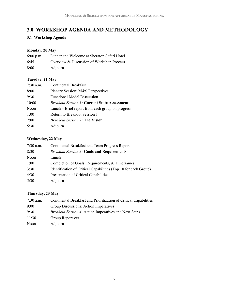## **3.0 WORKSHOP AGENDA AND METHODOLOGY**

#### **3.1 Workshop Agenda**

#### **Monday, 20 May**

| $6:00$ p.m. | Dinner and Welcome at Sheraton Safari Hotel |
|-------------|---------------------------------------------|
| 6:45        | Overview & Discussion of Workshop Process   |
| 8:00        | Adjourn                                     |

#### **Tuesday, 21 May**

| $7:30$ a.m. | Continental Breakfast                               |
|-------------|-----------------------------------------------------|
| 8:00        | Plenary Session: M&S Perspectives                   |
| 9:30        | <b>Functional Model Discussion</b>                  |
| 10:00       | <b>Breakout Session 1: Current State Assessment</b> |
| Noon        | Lunch – Brief report from each group on progress    |
| 1:00        | Return to Breakout Session 1                        |
| 2:00        | <i>Breakout Session 2: The Vision</i>               |
| 5:30        | Adjourn                                             |
|             |                                                     |

#### **Wednesday, 22 May**

| $7:30$ a.m. | Continental Breakfast and Team Progress Reports                 |
|-------------|-----------------------------------------------------------------|
| 8:30        | <b>Breakout Session 3: Goals and Requirements</b>               |
| Noon        | Lunch                                                           |
| 1:00        | Completion of Goals, Requirements, & Timeframes                 |
| 3:30        | Identification of Critical Capabilities (Top 10 for each Group) |
| 4:30        | Presentation of Critical Capabilities                           |
| 5:30        | Adjourn                                                         |

#### **Thursday, 23 May**

| $7:30$ a.m. | Continental Breakfast and Prioritization of Critical Capabilities |
|-------------|-------------------------------------------------------------------|
| 9:00        | Group Discussions: Action Imperatives                             |
| 9:30        | <i>Breakout Session 4:</i> Action Imperatives and Next Steps      |
| 11:30       | Group Report-out                                                  |
| Noon        | Adjourn                                                           |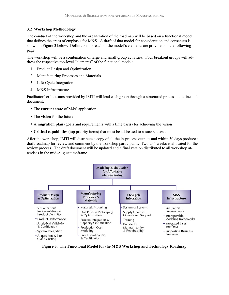#### **3.2 Workshop Methodology**

The conduct of the workshop and the organization of the roadmap will be based on a functional model that defines the areas of emphasis for M&S. A draft of that model for consideration and consensus is shown in Figure 3 below. Definitions for each of the model's elements are provided on the following page.

The workshop will be a combination of large and small group activities. Four breakout groups will address the respective top-level "elements" of the functional model:

- 1. Product Design and Optimization
- 2. Manufacturing Processes and Materials
- 3. Life-Cycle Integration
- 4. M&S Infrastructure.

Facilitator/scribe teams provided by IMTI will lead each group through a structured process to define and document:

- The **current state** of M&S application
- The **vision** for the future
- A **migration plan** (goals and requirements with a time basis) for achieving the vision
- **Critical capabilities** (top priority items) that must be addressed to assure success.

After the workshop, IMTI will distribute a copy of all the in-process outputs and within 30 days produce a draft roadmap for review and comment by the workshop participants. Two to 4 weeks is allocated for the review process. The draft document will be updated and a final version distributed to all workshop attendees in the mid-August timeframe.



**Figure 3. The Functional Model for the M&S Workshop and Technology Roadmap**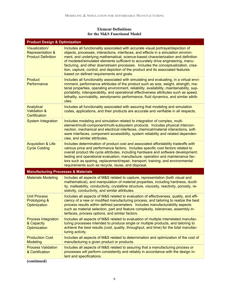#### **Element Definitions for the M&S Functional Model**

| <b>Product Design &amp; Optimization</b>                                   |                                                                                                                                                                                                                                                                                                                                                                                                                                                                                                                                                                    |  |
|----------------------------------------------------------------------------|--------------------------------------------------------------------------------------------------------------------------------------------------------------------------------------------------------------------------------------------------------------------------------------------------------------------------------------------------------------------------------------------------------------------------------------------------------------------------------------------------------------------------------------------------------------------|--|
| Visualization/<br><b>Representation &amp;</b><br><b>Product Definition</b> | Includes all functionality associated with accurate visual portrayal/depiction of<br>objects, processes, interactions, interfaces, and effects in a simulation environ-<br>ment, and underlying mathematical, science-based characterization and definition<br>of modeled/simulated elements sufficient to accurately drive engineering, manu-<br>facturing, and other downstream processes. Includes the conceptualization, crea-<br>tion, capture, control, and depiction of the product and its associated features<br>based on defined requirements and goals. |  |
| <b>Product</b><br>Performance                                              | Includes all functionality associated with simulating and evaluating, in a virtual envi-<br>ronment, performance attributes of the product such as size, weight, strength, ma-<br>terial properties, operating environment, reliability, availability, maintainability, sup-<br>portability, interoperability, and operational effectiveness attributes such as speed,<br>lethality, survivability, aerodynamic performance, fluid dynamics, and similar attrib-<br>utes.                                                                                          |  |
| Analytical<br><b>Validation &amp;</b><br>Certification                     | Includes all functionality associated with assuring that modeling and simulation<br>codes, applications, and their products are accurate and verifiable in all respects.                                                                                                                                                                                                                                                                                                                                                                                           |  |
| <b>System Integration</b>                                                  | Includes modeling and simulation related to integration of complex, multi-<br>element/multi-component/multi-subsystem products. Includes physical intercon-<br>nection, mechanical and electrical interfaces, chemical/material interactions, soft-<br>ware interfaces, component accessibility, system reliability and related dependen-<br>cies, and similar attributes.                                                                                                                                                                                         |  |
| <b>Acquisition &amp; Life-</b><br><b>Cycle Costing</b>                     | Includes determination of product cost and associated affordability tradeoffs with<br>various price and performance factors. Includes specific cost factors related to<br>overall product life cycle attributes, including hardware and software development;<br>testing and operational evaluation; manufacture; operation and maintenance fac-<br>tors such as sparing, replacement/repair, transport, training; and environmental<br>requirements such as recycle, reuse, and disposal.                                                                         |  |
| <b>Manufacturing Processes &amp; Materials</b>                             |                                                                                                                                                                                                                                                                                                                                                                                                                                                                                                                                                                    |  |
| <b>Materials Modeling</b>                                                  | Includes all aspects of M&S related to capture, representation (both visual and<br>mathematical), and manipulation of material properties, including hardness, ductil-<br>ity, malleability, conductivity, crystalline structure, viscosity, reactivity, porosity, re-<br>sistivity, conductivity, and similar attributes.                                                                                                                                                                                                                                         |  |
| <b>Unit Process</b><br><b>Prototyping &amp;</b><br>Optimization            | Includes all aspects of M&S related to evaluation of effectiveness, quality, and effi-<br>ciency of a new or modified manufacturing process, and tailoring to realize the best<br>process results within defined parameters. Includes manufacturability aspects<br>such as material selection, part and feature complexity, tolerances, assembly in-<br>terfaces, process options, and similar factors.                                                                                                                                                            |  |
| <b>Process Integration</b><br>& Capacity<br>Optimization                   | Includes all aspects of M&S related to evaluation of multiple interrelated manufac-<br>turing processes intended to produce single or multiple products, and tailoring to<br>achieve the best results (cost, quality, throughput, and time) for the total manufac-<br>turing activity.                                                                                                                                                                                                                                                                             |  |
| <b>Production Cost</b><br><b>Modeling</b>                                  | Includes all aspects of M&S related to determination and optimization of the cost of<br>manufacturing a given product or products.                                                                                                                                                                                                                                                                                                                                                                                                                                 |  |
| <b>Process Validation</b><br>& Certification                               | Includes all aspects of M&S related to assuring that a manufacturing process or<br>processes will perform consistently and reliably in accordance with the design in-<br>tent and specifications.                                                                                                                                                                                                                                                                                                                                                                  |  |
| (continued)                                                                |                                                                                                                                                                                                                                                                                                                                                                                                                                                                                                                                                                    |  |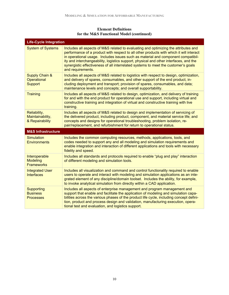| <b>Element Definitions</b>               |  |
|------------------------------------------|--|
| for the M&S Functional Model (continued) |  |

| <b>Life-Cycle Integration</b>                              |                                                                                                                                                                                                                                                                                                                                                                                                                                                                        |
|------------------------------------------------------------|------------------------------------------------------------------------------------------------------------------------------------------------------------------------------------------------------------------------------------------------------------------------------------------------------------------------------------------------------------------------------------------------------------------------------------------------------------------------|
| <b>System of Systems</b>                                   | Includes all aspects of M&S related to evaluating and optimizing the attributes and<br>performance of a product with respect to all other products with which it will interact<br>in operational usage. Includes issues such as material and component compatibil-<br>ity and interchangeability, logistics support, physical and other interfaces, and the<br>synergistic effectiveness of all interrelated systems to meet the customer's goals<br>and requirements. |
| <b>Supply Chain &amp;</b><br>Operational<br><b>Support</b> | Includes all aspects of M&S related to logistics with respect to design, optimization,<br>and delivery of spares, consumables, and other support of the end product, in-<br>cluding deployment and transport; provision of spares, consumables, and data;<br>maintenance levels and concepts; and overall supportability.                                                                                                                                              |
| <b>Training</b>                                            | Includes all aspects of M&S related to design, optimization, and delivery of training<br>for and with the end product for operational use and support, including virtual and<br>constructive training and integration of virtual and constructive training with live<br>training.                                                                                                                                                                                      |
| Reliability,<br>Maintainability,<br>& Repairability        | Includes all aspects of M&S related to design and implementation of servicing of<br>the delivered product, including product, component, and material service life; and<br>concepts and designs for operational troubleshooting, problem isolation, re-<br>pair/replacement, and refurbishment for return to operational status.                                                                                                                                       |
| <b>M&amp;S Infrastructure</b>                              |                                                                                                                                                                                                                                                                                                                                                                                                                                                                        |
| <b>Simulation</b><br><b>Environments</b>                   | Includes the common computing resources, methods, applications, tools, and<br>codes needed to support any and all modeling and simulation requirements and<br>enable integration and interaction of different applications and tools with necessary<br>fidelity and speed.                                                                                                                                                                                             |
| Interoperable<br><b>Modeling</b><br><b>Frameworks</b>      | Includes all standards and protocols required to enable "plug and play" interaction<br>of different modeling and simulation tools.                                                                                                                                                                                                                                                                                                                                     |
| <b>Integrated User</b><br><b>Interfaces</b>                | Includes all visualization and command and control functionality required to enable<br>users to operate and interact with modeling and simulation applications as an inte-<br>grated element of any discipline/domain toolset. Includes the ability, for example,<br>to invoke analytical simulation from directly within a CAD application.                                                                                                                           |
| <b>Supporting</b><br><b>Business</b><br><b>Processes</b>   | Includes all aspects of enterprise management and program management and<br>support that enable and facilitate the application of modeling and simulation capa-<br>bilities across the various phases of the product life cycle, including concept defini-<br>tion, product and process design and validation, manufacturing execution, opera-<br>tional test and evaluation, and logistics support.                                                                   |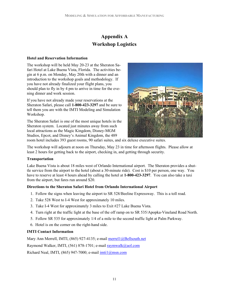# **Appendix A Workshop Logistics**

#### **Hotel and Reservation Information**

The workshop will be held May 20-23 at the Sheraton Safari Hotel at Lake Buena Vista, Florida. The activities begin at 6 p.m. on Monday, May 20th with a dinner and an introduction to the workshop goals and methodology. If you have not already finalized your flight plans, you should plan to fly in by 4 pm to arrive in time for the evening dinner and work session.

If you have not already made your reservations at the Sheraton Safari, please call **1-800-423-3297** and be sure to tell them you are with the IMTI Modeling and Simulation Workshop.

The Sheraton Safari is one of the most unique hotels in the Sheraton system. Located just minutes away from such local attractions as the Magic Kingdom, Disney-MGM Studios, Epcot, and Disney's Animal Kingdom, the 489



room hotel includes 393 guest rooms, 90 safari suites, and six deluxe executive suites.

The workshop will adjourn at noon on Thursday, May 23 in time for afternoon flights. Please allow at least 2 hours for getting back to the airport, checking in, and getting through security.

#### **Transportation**

Lake Buena Vista is about 18 miles west of Orlando International airport. The Sheraton provides a shuttle service from the airport to the hotel (about a 30-minute ride). Cost is \$10 per person, one way. You have to reserve at least 4 hours ahead by calling the hotel at **1-800-423-3297**. You can also take a taxi from the airport, but fares run around \$20.

#### **Directions to the Sheraton Safari Hotel from Orlando International Airport**

- 1. Follow the signs when leaving the airport to SR 528/Beeline Expressway. This is a toll road.
- 2. Take 528 West to I-4 West for approximately 10 miles.
- 3. Take I-4 West for approximately 3 miles to Exit #27 Lake Buena Vista.
- 4. Turn right at the traffic light at the base of the off ramp on to SR 535/Apopka-Vineland Road North.
- 5. Follow SR 535 for approximately 1/4 of a mile to the second traffic light at Palm Parkway.
- 6. Hotel is on the corner on the right-hand side.

#### **IMTI Contact Information**

Mary Ann Merrell, IMTI, (865) 927-4135; e-mail merrel1@Bellsouth.net

Raymond Walker, IMTI, (561) 878-1701; e-mail raymwalk@aol.com

Richard Neal, IMTI, (865) 947-7000; e-mail imti1@msn.com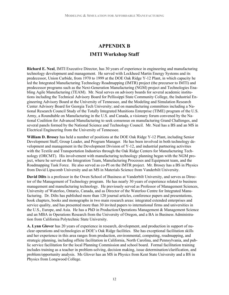# **APPENDIX B IMTI Workshop Staff**

**Richard E. Neal**, IMTI Executive Director, has 30 years of experience in engineering and manufacturing technology development and management. He served with Lockheed Martin Energy Systems and its predecessor, Union Carbide, from 1970 to 1999 at the DOE Oak Ridge Y-12 Plant, in which capacity he led the Integrated Manufacturing Technology Roadmapping (IMTR) project (the precursor to IMTI) and predecessor programs such as the Next-Generation Manufacturing (NGM) project and Technologies Enabling Agile Manufacturing (TEAM). Mr. Neal serves on advisory boards for several academic institutions including the Technical Advisory Board for Pellissippi State Community College, the Industrial Engineering Advisory Board at the University of Tennessee, and the Modeling and Simulation Research Center Advisory Board for Georgia Tech University; and on manufacturing committees including a National Research Council Study of the Totally Integrated Munitions Enterprise (TIME) program of the U.S. Army, a Roundtable on Manufacturing in the U.S. and Canada, a visionary forum convened by the National Coalition for Advanced Manufacturing to seek consensus on manufacturing Grand Challenges, and several panels formed by the National Science and Technology Council. Mr. Neal has a BS and an MS in Electrical Engineering from the University of Tennessee.

**William D. Brosey** has held a number of positions at the DOE Oak Ridge Y-12 Plant, including Senior Development Staff, Group Leader, and Program Manager. He has been involved in both technology development and management in the Development Division of Y-12, and industrial partnering activities with the Textile and Transportation Industries through the Oak Ridge Centers for Manufacturing Technology (ORCMT). His involvement with manufacturing technology planning began with the NGM project, where he served on the Integration Team, Manufacturing Processes and Equipment team, and the Roadmapping Task Force. He also served as co-PI on the IMTR project. Mr. Brosey has a BS in Physics from David Lipscomb University and an MS in Materials Science from Vanderbilt University.

**David Dilts** is a professor in the Owen School of Business at Vanderbilt University, and serves as Director of the Management of Technology program. He has nearly 30 years of experience related to business management and manufacturing technology. He previously served as Professor of Management Sciences, University of Waterloo, Ontario, Canada, and as Director of the Waterloo Centre for Integrated Manufacturing. Dr. Dilts has published more than 120 journal articles, conference papers and presentations, book chapters, books and monographs in two main research areas: integrated extended enterprises and service quality, and has presented more than 30 invited papers to international firms and universities in the U.S., Europe, and Asia. He has a PhD in Production/Operations Management & Management Science and an MBA in Operations Research from the University of Oregon, and a BA in Business Administration from California Polytechnic State University.

**A. Lynn Glover** has 20 years of experience in research, development, and production in support of nuclear operations and technologies at DOE's Oak Ridge facilities. She has exceptional facilitation skills and her experience in this area ranges from production, environmental, computing, roadmapping, and strategic planning, including offsite facilitation in California, North Carolina, and Pennsylvania, and public service facilitation for the local Planning Commission and school board. Formal facilitation training includes training as a teacher in problem-solving, decision making, issue determination/clarification, and problem/opportunity analysis. Ms Glover has an MS in Physics from Kent State University and a BS in Physics from Longwood College.